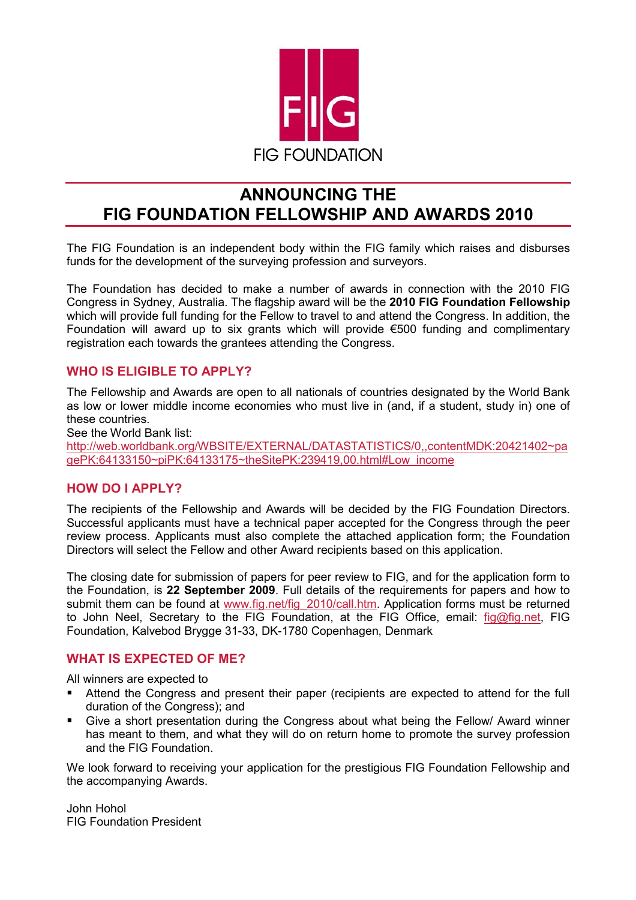

# **ANNOUNCING THE FIG FOUNDATION FELLOWSHIP AND AWARDS 2010**

The FIG Foundation is an independent body within the FIG family which raises and disburses funds for the development of the surveying profession and surveyors.

The Foundation has decided to make a number of awards in connection with the 2010 FIG Congress in Sydney, Australia. The flagship award will be the **2010 FIG Foundation Fellowship** which will provide full funding for the Fellow to travel to and attend the Congress. In addition, the Foundation will award up to six grants which will provide €500 funding and complimentary registration each towards the grantees attending the Congress.

### **WHO IS ELIGIBLE TO APPLY?**

The Fellowship and Awards are open to all nationals of countries designated by the World Bank as low or lower middle income economies who must live in (and, if a student, study in) one of these countries.

See the World Bank list:

http://web.worldbank.org/WBSITE/EXTERNAL/DATASTATISTICS/0,,contentMDK:20421402~pa gePK:64133150~piPK:64133175~theSitePK:239419,00.html#Low\_income

### **HOW DO I APPLY?**

The recipients of the Fellowship and Awards will be decided by the FIG Foundation Directors. Successful applicants must have a technical paper accepted for the Congress through the peer review process. Applicants must also complete the attached application form; the Foundation Directors will select the Fellow and other Award recipients based on this application.

The closing date for submission of papers for peer review to FIG, and for the application form to the Foundation, is **22 September 2009**. Full details of the requirements for papers and how to submit them can be found at www.fig.net/fig\_2010/call.htm. Application forms must be returned to John Neel, Secretary to the FIG Foundation, at the FIG Office, email: fig@fig.net, FIG Foundation, Kalvebod Brygge 31-33, DK-1780 Copenhagen, Denmark

#### **WHAT IS EXPECTED OF ME?**

All winners are expected to

- Attend the Congress and present their paper (recipients are expected to attend for the full duration of the Congress); and
- Give a short presentation during the Congress about what being the Fellow/ Award winner has meant to them, and what they will do on return home to promote the survey profession and the FIG Foundation.

We look forward to receiving your application for the prestigious FIG Foundation Fellowship and the accompanying Awards.

John Hohol FIG Foundation President